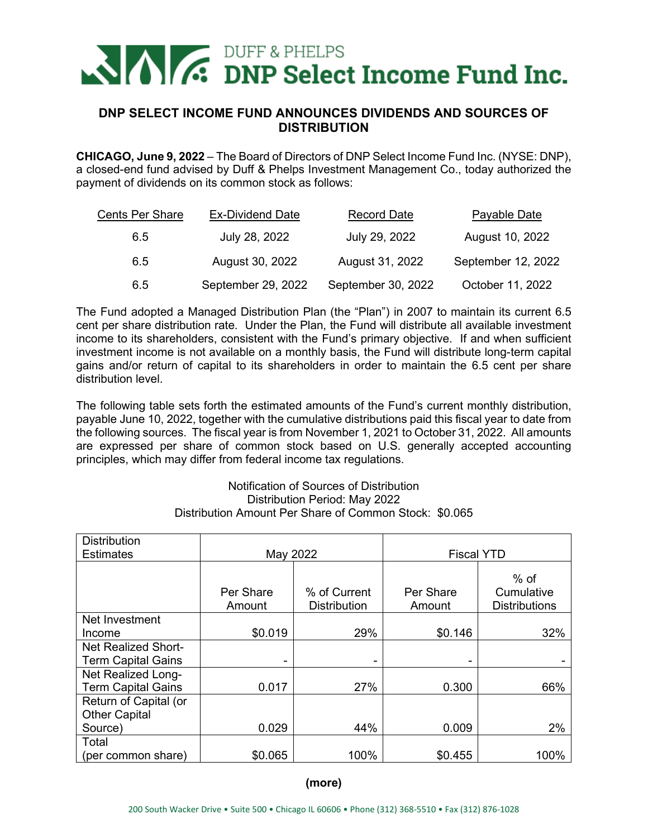# **NAMES** DUFF & PHELPS<br> **C.** DNP Select Income Fund Inc.

## **DNP SELECT INCOME FUND ANNOUNCES DIVIDENDS AND SOURCES OF DISTRIBUTION**

**CHICAGO, June 9, 2022** – The Board of Directors of DNP Select Income Fund Inc. (NYSE: DNP), a closed-end fund advised by Duff & Phelps Investment Management Co., today authorized the payment of dividends on its common stock as follows:

| <b>Cents Per Share</b> | <b>Ex-Dividend Date</b> | <b>Record Date</b> | <b>Payable Date</b> |
|------------------------|-------------------------|--------------------|---------------------|
| 6.5                    | July 28, 2022           | July 29, 2022      | August 10, 2022     |
| 6.5                    | August 30, 2022         | August 31, 2022    | September 12, 2022  |
| 6.5                    | September 29, 2022      | September 30, 2022 | October 11, 2022    |

The Fund adopted a Managed Distribution Plan (the "Plan") in 2007 to maintain its current 6.5 cent per share distribution rate. Under the Plan, the Fund will distribute all available investment income to its shareholders, consistent with the Fund's primary objective. If and when sufficient investment income is not available on a monthly basis, the Fund will distribute long-term capital gains and/or return of capital to its shareholders in order to maintain the 6.5 cent per share distribution level.

The following table sets forth the estimated amounts of the Fund's current monthly distribution, payable June 10, 2022, together with the cumulative distributions paid this fiscal year to date from the following sources. The fiscal year is from November 1, 2021 to October 31, 2022. All amounts are expressed per share of common stock based on U.S. generally accepted accounting principles, which may differ from federal income tax regulations.

### Notification of Sources of Distribution Distribution Period: May 2022 Distribution Amount Per Share of Common Stock: \$0.065

| <b>Distribution</b>                             |                     |                                     |                     |                                              |
|-------------------------------------------------|---------------------|-------------------------------------|---------------------|----------------------------------------------|
| <b>Estimates</b>                                | May 2022            |                                     | <b>Fiscal YTD</b>   |                                              |
|                                                 | Per Share<br>Amount | % of Current<br><b>Distribution</b> | Per Share<br>Amount | $%$ of<br>Cumulative<br><b>Distributions</b> |
| Net Investment                                  |                     |                                     |                     |                                              |
| Income                                          | \$0.019             | 29%                                 | \$0.146             | 32%                                          |
| <b>Net Realized Short-</b>                      |                     |                                     |                     |                                              |
| <b>Term Capital Gains</b>                       | -                   |                                     |                     |                                              |
| Net Realized Long-<br><b>Term Capital Gains</b> | 0.017               | 27%                                 | 0.300               | 66%                                          |
| Return of Capital (or                           |                     |                                     |                     |                                              |
| <b>Other Capital</b>                            |                     |                                     |                     |                                              |
| Source)                                         | 0.029               | 44%                                 | 0.009               | 2%                                           |
| Total                                           |                     |                                     |                     |                                              |
| (per common share)                              | \$0.065             | 100%                                | \$0.455             | 100%                                         |

**(more)**